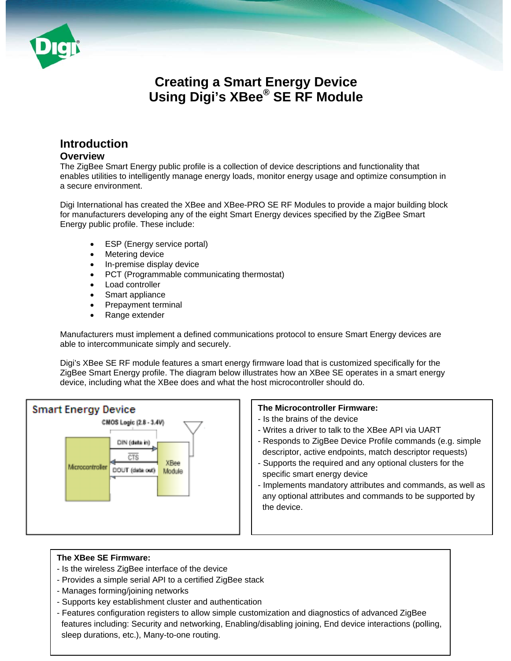

# **Creating a Smart Energy Device Using Digi's XBee® SE RF Module**

# **Introduction**

# **Overview**

The ZigBee Smart Energy public profile is a collection of device descriptions and functionality that enables utilities to intelligently manage energy loads, monitor energy usage and optimize consumption in a secure environment.

Digi International has created the XBee and XBee-PRO SE RF Modules to provide a major building block for manufacturers developing any of the eight Smart Energy devices specified by the ZigBee Smart Energy public profile. These include:

- ESP (Energy service portal)
- Metering device
- In-premise display device
- PCT (Programmable communicating thermostat)
- Load controller
- Smart appliance
- Prepayment terminal
- Range extender

Manufacturers must implement a defined communications protocol to ensure Smart Energy devices are able to intercommunicate simply and securely.

Digi's XBee SE RF module features a smart energy firmware load that is customized specifically for the ZigBee Smart Energy profile. The diagram below illustrates how an XBee SE operates in a smart energy device, including what the XBee does and what the host microcontroller should do.



#### **The Microcontroller Firmware:**

- Is the brains of the device
- Writes a driver to talk to the XBee API via UART
- Responds to ZigBee Device Profile commands (e.g. simple descriptor, active endpoints, match descriptor requests)
- Supports the required and any optional clusters for the specific smart energy device
- Implements mandatory attributes and commands, as well as any optional attributes and commands to be supported by the device.

#### **The XBee SE Firmware:**

- Is the wireless ZigBee interface of the device
- Provides a simple serial API to a certified ZigBee stack
- Manages forming/joining networks
- Supports key establishment cluster and authentication
- features including: Security and networking, Enabling/disabling joining, End device interactions (polling, - Features configuration registers to allow simple customization and diagnostics of advanced ZigBee sleep durations, etc.), Many-to-one routing.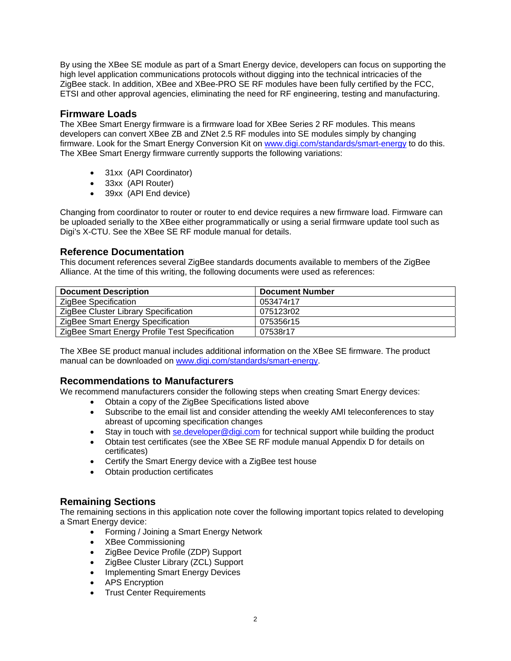By using the XBee SE module as part of a Smart Energy device, developers can focus on supporting the high level application communications protocols without digging into the technical intricacies of the ZigBee stack. In addition, XBee and XBee-PRO SE RF modules have been fully certified by the FCC, ETSI and other approval agencies, eliminating the need for RF engineering, testing and manufacturing.

## **Firmware Loads**

The XBee Smart Energy firmware is a firmware load for XBee Series 2 RF modules. This means developers can convert XBee ZB and ZNet 2.5 RF modules into SE modules simply by changing firmware. Look for the Smart Energy Conversion Kit on [www.digi.com/standards/smart-energy](http://www.digi.com/standards/smart-energy) to do this. The XBee Smart Energy firmware currently supports the following variations:

- 31xx (API Coordinator)
- 33xx (API Router)
- 39xx (API End device)

Changing from coordinator to router or router to end device requires a new firmware load. Firmware can be uploaded serially to the XBee either programmatically or using a serial firmware update tool such as Digi's X-CTU. See the XBee SE RF module manual for details.

### **Reference Documentation**

This document references several ZigBee standards documents available to members of the ZigBee Alliance. At the time of this writing, the following documents were used as references:

| <b>Document Description</b>                    | <b>Document Number</b> |
|------------------------------------------------|------------------------|
| ZigBee Specification                           | 053474r17              |
| ZigBee Cluster Library Specification           | 075123r02              |
| ZigBee Smart Energy Specification              | 075356r15              |
| ZigBee Smart Energy Profile Test Specification | 07538r17               |

The XBee SE product manual includes additional information on the XBee SE firmware. The product manual can be downloaded on [www.digi.com/standards/smart-energy](http://www.digi.com/standards/smart-energy).

# **Recommendations to Manufacturers**

We recommend manufacturers consider the following steps when creating Smart Energy devices:

- Obtain a copy of the ZigBee Specifications listed above
- Subscribe to the email list and consider attending the weekly AMI teleconferences to stay abreast of upcoming specification changes
- Stay in touch with [se.developer@digi.com](mailto:se.developer@digi.com) for technical support while building the product
- Obtain test certificates (see the XBee SE RF module manual Appendix D for details on certificates)
- Certify the Smart Energy device with a ZigBee test house
- Obtain production certificates

# **Remaining Sections**

The remaining sections in this application note cover the following important topics related to developing a Smart Energy device:

- Forming / Joining a Smart Energy Network
- XBee Commissioning
- ZigBee Device Profile (ZDP) Support
- ZigBee Cluster Library (ZCL) Support
- Implementing Smart Energy Devices
- APS Encryption
- Trust Center Requirements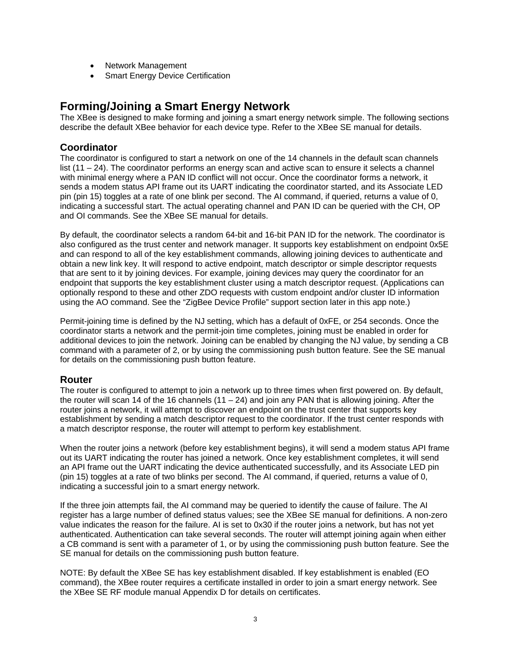- Network Management
- Smart Energy Device Certification

# **Forming/Joining a Smart Energy Network**

The XBee is designed to make forming and joining a smart energy network simple. The following sections describe the default XBee behavior for each device type. Refer to the XBee SE manual for details.

## **Coordinator**

The coordinator is configured to start a network on one of the 14 channels in the default scan channels list (11 – 24). The coordinator performs an energy scan and active scan to ensure it selects a channel with minimal energy where a PAN ID conflict will not occur. Once the coordinator forms a network, it sends a modem status API frame out its UART indicating the coordinator started, and its Associate LED pin (pin 15) toggles at a rate of one blink per second. The AI command, if queried, returns a value of 0, indicating a successful start. The actual operating channel and PAN ID can be queried with the CH, OP and OI commands. See the XBee SE manual for details.

By default, the coordinator selects a random 64-bit and 16-bit PAN ID for the network. The coordinator is also configured as the trust center and network manager. It supports key establishment on endpoint 0x5E and can respond to all of the key establishment commands, allowing joining devices to authenticate and obtain a new link key. It will respond to active endpoint, match descriptor or simple descriptor requests that are sent to it by joining devices. For example, joining devices may query the coordinator for an endpoint that supports the key establishment cluster using a match descriptor request. (Applications can optionally respond to these and other ZDO requests with custom endpoint and/or cluster ID information using the AO command. See the "ZigBee Device Profile" support section later in this app note.)

Permit-joining time is defined by the NJ setting, which has a default of 0xFE, or 254 seconds. Once the coordinator starts a network and the permit-join time completes, joining must be enabled in order for additional devices to join the network. Joining can be enabled by changing the NJ value, by sending a CB command with a parameter of 2, or by using the commissioning push button feature. See the SE manual for details on the commissioning push button feature.

### **Router**

The router is configured to attempt to join a network up to three times when first powered on. By default, the router will scan 14 of the 16 channels (11 – 24) and join any PAN that is allowing joining. After the router joins a network, it will attempt to discover an endpoint on the trust center that supports key establishment by sending a match descriptor request to the coordinator. If the trust center responds with a match descriptor response, the router will attempt to perform key establishment.

When the router joins a network (before key establishment begins), it will send a modem status API frame out its UART indicating the router has joined a network. Once key establishment completes, it will send an API frame out the UART indicating the device authenticated successfully, and its Associate LED pin (pin 15) toggles at a rate of two blinks per second. The AI command, if queried, returns a value of 0, indicating a successful join to a smart energy network.

If the three join attempts fail, the AI command may be queried to identify the cause of failure. The AI register has a large number of defined status values; see the XBee SE manual for definitions. A non-zero value indicates the reason for the failure. AI is set to 0x30 if the router joins a network, but has not yet authenticated. Authentication can take several seconds. The router will attempt joining again when either a CB command is sent with a parameter of 1, or by using the commissioning push button feature. See the SE manual for details on the commissioning push button feature.

NOTE: By default the XBee SE has key establishment disabled. If key establishment is enabled (EO command), the XBee router requires a certificate installed in order to join a smart energy network. See the XBee SE RF module manual Appendix D for details on certificates.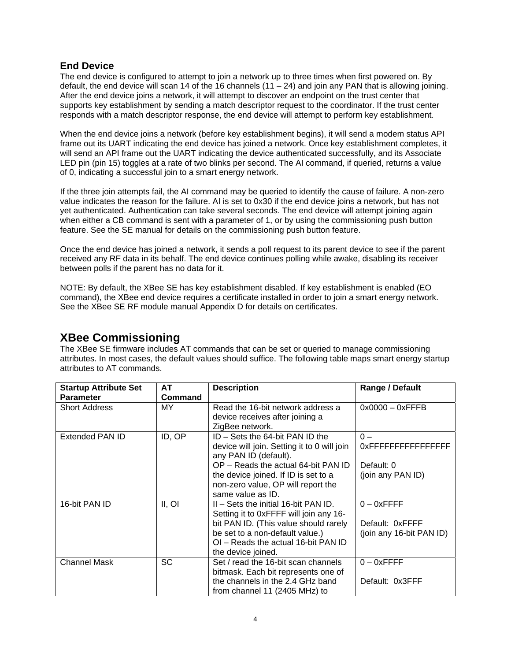### **End Device**

The end device is configured to attempt to join a network up to three times when first powered on. By default, the end device will scan 14 of the 16 channels  $(11 – 24)$  and join any PAN that is allowing joining. After the end device joins a network, it will attempt to discover an endpoint on the trust center that supports key establishment by sending a match descriptor request to the coordinator. If the trust center responds with a match descriptor response, the end device will attempt to perform key establishment.

When the end device joins a network (before key establishment begins), it will send a modem status API frame out its UART indicating the end device has joined a network. Once key establishment completes, it will send an API frame out the UART indicating the device authenticated successfully, and its Associate LED pin (pin 15) toggles at a rate of two blinks per second. The AI command, if queried, returns a value of 0, indicating a successful join to a smart energy network.

If the three join attempts fail, the AI command may be queried to identify the cause of failure. A non-zero value indicates the reason for the failure. AI is set to 0x30 if the end device joins a network, but has not yet authenticated. Authentication can take several seconds. The end device will attempt joining again when either a CB command is sent with a parameter of 1, or by using the commissioning push button feature. See the SE manual for details on the commissioning push button feature.

Once the end device has joined a network, it sends a poll request to its parent device to see if the parent received any RF data in its behalf. The end device continues polling while awake, disabling its receiver between polls if the parent has no data for it.

NOTE: By default, the XBee SE has key establishment disabled. If key establishment is enabled (EO command), the XBee end device requires a certificate installed in order to join a smart energy network. See the XBee SE RF module manual Appendix D for details on certificates.

# **XBee Commissioning**

The XBee SE firmware includes AT commands that can be set or queried to manage commissioning attributes. In most cases, the default values should suffice. The following table maps smart energy startup attributes to AT commands.

| <b>Startup Attribute Set</b> | AT             | <b>Description</b>                                                   | Range / Default          |
|------------------------------|----------------|----------------------------------------------------------------------|--------------------------|
| <b>Parameter</b>             | <b>Command</b> |                                                                      |                          |
| <b>Short Address</b>         | MY.            | Read the 16-bit network address a<br>device receives after joining a | $0x0000 - 0x$ FFFB       |
|                              |                | ZigBee network.                                                      |                          |
| <b>Extended PAN ID</b>       | ID, OP         | $ID - Sets$ the 64-bit PAN ID the                                    | $0 -$                    |
|                              |                | device will join. Setting it to 0 will join<br>any PAN ID (default). | 0xFFFFFFFFFFFFFFFF       |
|                              |                | OP – Reads the actual 64-bit PAN ID                                  | Default: 0               |
|                              |                | the device joined. If ID is set to a                                 | (join any PAN ID)        |
|                              |                | non-zero value, OP will report the                                   |                          |
|                              |                | same value as ID.                                                    |                          |
| 16-bit PAN ID                | II, OI         | $II - Sets$ the initial 16-bit PAN ID.                               | $0 - 0x$ FFFF            |
|                              |                | Setting it to 0xFFFF will join any 16-                               |                          |
|                              |                | bit PAN ID. (This value should rarely                                | Default: 0xFFFF          |
|                              |                | be set to a non-default value.)                                      | (join any 16-bit PAN ID) |
|                              |                | OI - Reads the actual 16-bit PAN ID                                  |                          |
|                              |                | the device joined.                                                   |                          |
| <b>Channel Mask</b>          | <b>SC</b>      | Set / read the 16-bit scan channels                                  | $0 - 0x$ FFFF            |
|                              |                | bitmask. Each bit represents one of                                  |                          |
|                              |                | the channels in the 2.4 GHz band                                     | Default: 0x3FFF          |
|                              |                | from channel 11 (2405 MHz) to                                        |                          |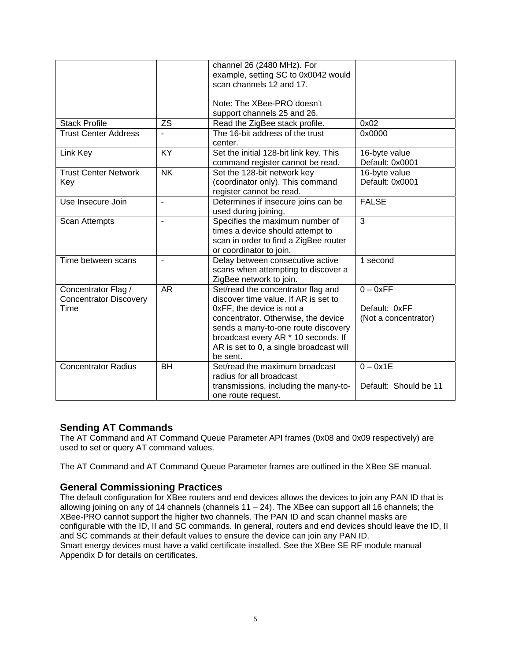|                               |                | channel 26 (2480 MHz). For              |                       |
|-------------------------------|----------------|-----------------------------------------|-----------------------|
|                               |                | example, setting SC to 0x0042 would     |                       |
|                               |                | scan channels 12 and 17.                |                       |
|                               |                |                                         |                       |
|                               |                | Note: The XBee-PRO doesn't              |                       |
|                               |                | support channels 25 and 26.             |                       |
| <b>Stack Profile</b>          | <b>ZS</b>      | Read the ZigBee stack profile.          | 0x02                  |
| <b>Trust Center Address</b>   |                | The 16-bit address of the trust         | 0x0000                |
|                               |                | center.                                 |                       |
| Link Key                      | KY             | Set the initial 128-bit link key. This  | 16-byte value         |
|                               |                | command register cannot be read.        | Default: 0x0001       |
| <b>Trust Center Network</b>   | <b>NK</b>      | Set the 128-bit network key             | 16-byte value         |
| Key                           |                | (coordinator only). This command        | Default: 0x0001       |
|                               |                | register cannot be read.                |                       |
| Use Insecure Join             | $\overline{a}$ | Determines if insecure joins can be     | <b>FALSE</b>          |
|                               |                | used during joining.                    |                       |
| <b>Scan Attempts</b>          |                | Specifies the maximum number of         | 3                     |
|                               |                | times a device should attempt to        |                       |
|                               |                | scan in order to find a ZigBee router   |                       |
|                               |                | or coordinator to join.                 |                       |
| Time between scans            |                | Delay between consecutive active        | 1 second              |
|                               |                | scans when attempting to discover a     |                       |
|                               |                | ZigBee network to join.                 |                       |
| Concentrator Flag /           | <b>AR</b>      | Set/read the concentrator flag and      | $0 - 0xFF$            |
| <b>Concentrator Discovery</b> |                | discover time value. If AR is set to    |                       |
| Time                          |                | 0xFF, the device is not a               | Default: 0xFF         |
|                               |                | concentrator. Otherwise, the device     | (Not a concentrator)  |
|                               |                | sends a many-to-one route discovery     |                       |
|                               |                | broadcast every AR * 10 seconds. If     |                       |
|                               |                | AR is set to 0, a single broadcast will |                       |
|                               |                | be sent.                                |                       |
| <b>Concentrator Radius</b>    | <b>BH</b>      | Set/read the maximum broadcast          | $0 - 0x1E$            |
|                               |                | radius for all broadcast                |                       |
|                               |                | transmissions, including the many-to-   | Default: Should be 11 |
|                               |                | one route request.                      |                       |

### **Sending AT Commands**

The AT Command and AT Command Queue Parameter API frames (0x08 and 0x09 respectively) are used to set or query AT command values.

The AT Command and AT Command Queue Parameter frames are outlined in the XBee SE manual.

## **General Commissioning Practices**

The default configuration for XBee routers and end devices allows the devices to join any PAN ID that is allowing joining on any of 14 channels (channels 11 – 24). The XBee can support all 16 channels; the XBee-PRO cannot support the higher two channels. The PAN ID and scan channel masks are configurable with the ID, II and SC commands. In general, routers and end devices should leave the ID, II and SC commands at their default values to ensure the device can join any PAN ID. Smart energy devices must have a valid certificate installed. See the XBee SE RF module manual Appendix D for details on certificates.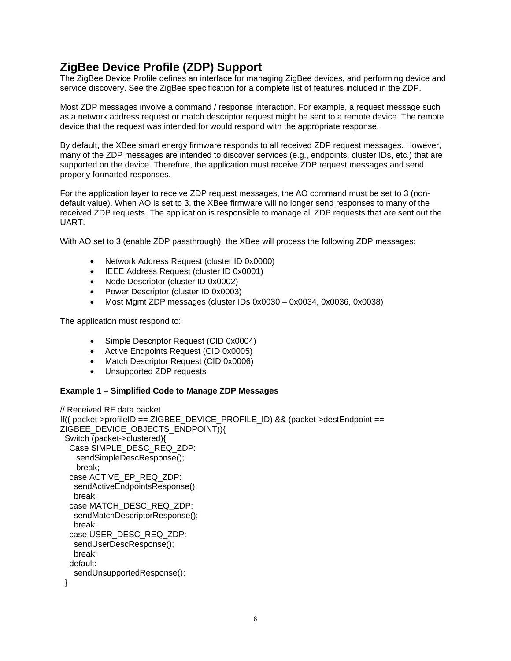# **ZigBee Device Profile (ZDP) Support**

The ZigBee Device Profile defines an interface for managing ZigBee devices, and performing device and service discovery. See the ZigBee specification for a complete list of features included in the ZDP.

Most ZDP messages involve a command / response interaction. For example, a request message such as a network address request or match descriptor request might be sent to a remote device. The remote device that the request was intended for would respond with the appropriate response.

By default, the XBee smart energy firmware responds to all received ZDP request messages. However, many of the ZDP messages are intended to discover services (e.g., endpoints, cluster IDs, etc.) that are supported on the device. Therefore, the application must receive ZDP request messages and send properly formatted responses.

For the application layer to receive ZDP request messages, the AO command must be set to 3 (nondefault value). When AO is set to 3, the XBee firmware will no longer send responses to many of the received ZDP requests. The application is responsible to manage all ZDP requests that are sent out the UART.

With AO set to 3 (enable ZDP passthrough), the XBee will process the following ZDP messages:

- Network Address Request (cluster ID 0x0000)
- IEEE Address Request (cluster ID 0x0001)
- Node Descriptor (cluster ID 0x0002)
- Power Descriptor (cluster ID 0x0003)
- Most Mgmt ZDP messages (cluster IDs 0x0030 0x0034, 0x0036, 0x0038)

The application must respond to:

- Simple Descriptor Request (CID 0x0004)
- Active Endpoints Request (CID 0x0005)
- Match Descriptor Request (CID 0x0006)
- Unsupported ZDP requests

#### **Example 1 – Simplified Code to Manage ZDP Messages**

```
// Received RF data packet 
If(( packet->profileID == ZIGBEE_DEVICE_PROFILE_ID) && (packet->destEndpoint == 
ZIGBEE_DEVICE_OBJECTS_ENDPOINT)){ 
  Switch (packet->clustered){ 
   Case SIMPLE_DESC_REQ_ZDP: 
     sendSimpleDescResponse(); 
     break; 
   case ACTIVE_EP_REQ_ZDP: 
    sendActiveEndpointsResponse(); 
    break; 
   case MATCH_DESC_REQ_ZDP: 
    sendMatchDescriptorResponse(); 
    break; 
   case USER_DESC_REQ_ZDP: 
    sendUserDescResponse(); 
    break; 
   default: 
    sendUnsupportedResponse(); 
  }
```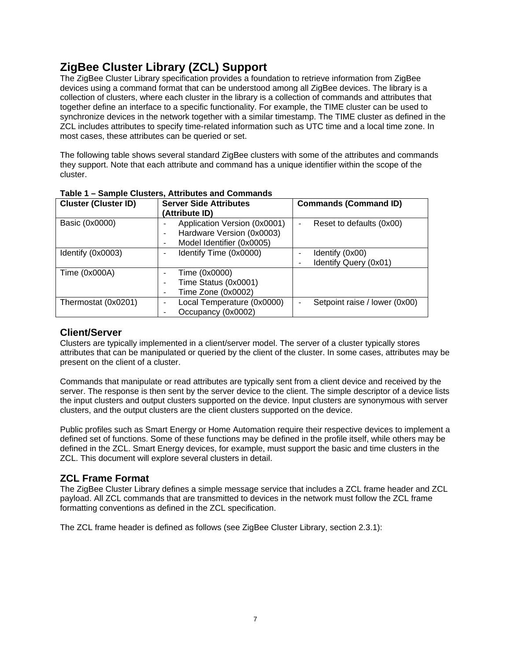# **ZigBee Cluster Library (ZCL) Support**

The ZigBee Cluster Library specification provides a foundation to retrieve information from ZigBee devices using a command format that can be understood among all ZigBee devices. The library is a collection of clusters, where each cluster in the library is a collection of commands and attributes that together define an interface to a specific functionality. For example, the TIME cluster can be used to synchronize devices in the network together with a similar timestamp. The TIME cluster as defined in the ZCL includes attributes to specify time-related information such as UTC time and a local time zone. In most cases, these attributes can be queried or set.

The following table shows several standard ZigBee clusters with some of the attributes and commands they support. Note that each attribute and command has a unique identifier within the scope of the cluster.

| <b>Cluster (Cluster ID)</b> | <b>Server Side Attributes</b><br>(Attribute ID)                                             | <b>Commands (Command ID)</b>             |
|-----------------------------|---------------------------------------------------------------------------------------------|------------------------------------------|
| Basic (0x0000)              | Application Version (0x0001)<br>Hardware Version (0x0003)<br>-<br>Model Identifier (0x0005) | Reset to defaults (0x00)                 |
| Identify (0x0003)           | Identify Time (0x0000)                                                                      | Identify (0x00)<br>Identify Query (0x01) |
| Time (0x000A)               | Time (0x0000)<br>Time Status (0x0001)<br>Time Zone (0x0002)                                 |                                          |
| Thermostat (0x0201)         | Local Temperature (0x0000)<br>Occupancy (0x0002)                                            | Setpoint raise / lower (0x00)            |

**Table 1 – Sample Clusters, Attributes and Commands** 

# **Client/Server**

Clusters are typically implemented in a client/server model. The server of a cluster typically stores attributes that can be manipulated or queried by the client of the cluster. In some cases, attributes may be present on the client of a cluster.

Commands that manipulate or read attributes are typically sent from a client device and received by the server. The response is then sent by the server device to the client. The simple descriptor of a device lists the input clusters and output clusters supported on the device. Input clusters are synonymous with server clusters, and the output clusters are the client clusters supported on the device.

Public profiles such as Smart Energy or Home Automation require their respective devices to implement a defined set of functions. Some of these functions may be defined in the profile itself, while others may be defined in the ZCL. Smart Energy devices, for example, must support the basic and time clusters in the ZCL. This document will explore several clusters in detail.

# **ZCL Frame Format**

The ZigBee Cluster Library defines a simple message service that includes a ZCL frame header and ZCL payload. All ZCL commands that are transmitted to devices in the network must follow the ZCL frame formatting conventions as defined in the ZCL specification.

The ZCL frame header is defined as follows (see ZigBee Cluster Library, section 2.3.1):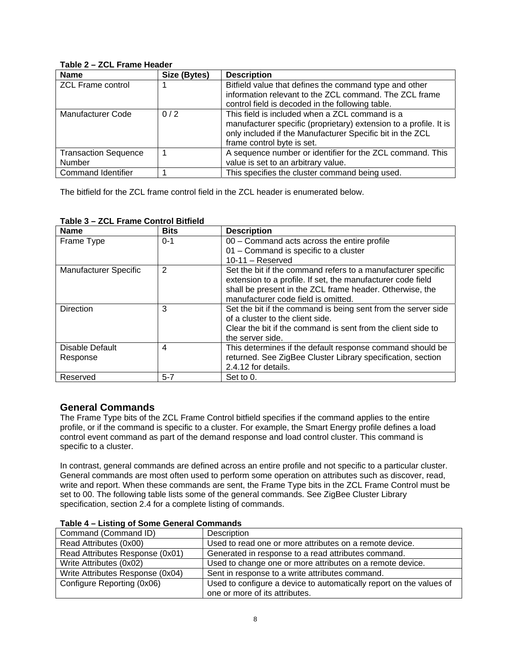| <b>Name</b>                 | Size (Bytes) | <b>Description</b>                                                |
|-----------------------------|--------------|-------------------------------------------------------------------|
| <b>ZCL Frame control</b>    |              | Bitfield value that defines the command type and other            |
|                             |              | information relevant to the ZCL command. The ZCL frame            |
|                             |              | control field is decoded in the following table.                  |
| Manufacturer Code           | 0/2          | This field is included when a ZCL command is a                    |
|                             |              | manufacturer specific (proprietary) extension to a profile. It is |
|                             |              | only included if the Manufacturer Specific bit in the ZCL         |
|                             |              | frame control byte is set.                                        |
| <b>Transaction Sequence</b> |              | A sequence number or identifier for the ZCL command. This         |
| Number                      |              | value is set to an arbitrary value.                               |
| <b>Command Identifier</b>   |              | This specifies the cluster command being used.                    |

#### **Table 2 – ZCL Frame Header**

The bitfield for the ZCL frame control field in the ZCL header is enumerated below.

| <b>Name</b>                  | <b>Bits</b>    | <b>Description</b>                                            |
|------------------------------|----------------|---------------------------------------------------------------|
| Frame Type                   | $0 - 1$        | 00 - Command acts across the entire profile                   |
|                              |                | 01 - Command is specific to a cluster                         |
|                              |                | $10-11 -$ Reserved                                            |
| <b>Manufacturer Specific</b> | $\overline{2}$ | Set the bit if the command refers to a manufacturer specific  |
|                              |                | extension to a profile. If set, the manufacturer code field   |
|                              |                | shall be present in the ZCL frame header. Otherwise, the      |
|                              |                | manufacturer code field is omitted.                           |
| <b>Direction</b>             | 3              | Set the bit if the command is being sent from the server side |
|                              |                | of a cluster to the client side.                              |
|                              |                | Clear the bit if the command is sent from the client side to  |
|                              |                | the server side.                                              |
| Disable Default              | 4              | This determines if the default response command should be     |
| Response                     |                | returned. See ZigBee Cluster Library specification, section   |
|                              |                | 2.4.12 for details.                                           |
| Reserved                     | $5 - 7$        | Set to 0.                                                     |

#### **Table 3 – ZCL Frame Control Bitfield**

# **General Commands**

The Frame Type bits of the ZCL Frame Control bitfield specifies if the command applies to the entire profile, or if the command is specific to a cluster. For example, the Smart Energy profile defines a load control event command as part of the demand response and load control cluster. This command is specific to a cluster.

In contrast, general commands are defined across an entire profile and not specific to a particular cluster. General commands are most often used to perform some operation on attributes such as discover, read, write and report. When these commands are sent, the Frame Type bits in the ZCL Frame Control must be set to 00. The following table lists some of the general commands. See ZigBee Cluster Library specification, section 2.4 for a complete listing of commands.

| Command (Command ID)             | Description                                                         |
|----------------------------------|---------------------------------------------------------------------|
| Read Attributes (0x00)           | Used to read one or more attributes on a remote device.             |
| Read Attributes Response (0x01)  | Generated in response to a read attributes command.                 |
| Write Attributes (0x02)          | Used to change one or more attributes on a remote device.           |
| Write Attributes Response (0x04) | Sent in response to a write attributes command.                     |
| Configure Reporting (0x06)       | Used to configure a device to automatically report on the values of |
|                                  | one or more of its attributes.                                      |

#### **Table 4 – Listing of Some General Commands**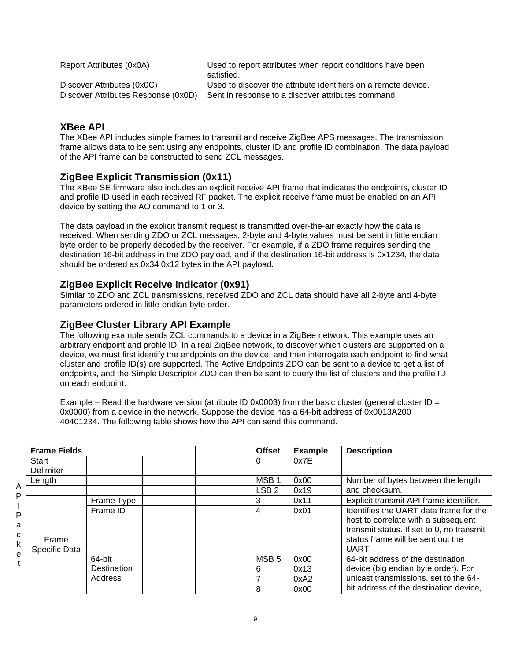| Report Attributes (0x0A)            | Used to report attributes when report conditions have been     |
|-------------------------------------|----------------------------------------------------------------|
|                                     | satisfied.                                                     |
| Discover Attributes (0x0C)          | Used to discover the attribute identifiers on a remote device. |
| Discover Attributes Response (0x0D) | Sent in response to a discover attributes command.             |

## **XBee API**

The XBee API includes simple frames to transmit and receive ZigBee APS messages. The transmission frame allows data to be sent using any endpoints, cluster ID and profile ID combination. The data payload of the API frame can be constructed to send ZCL messages.

## **ZigBee Explicit Transmission (0x11)**

The XBee SE firmware also includes an explicit receive API frame that indicates the endpoints, cluster ID and profile ID used in each received RF packet. The explicit receive frame must be enabled on an API device by setting the AO command to 1 or 3.

The data payload in the explicit transmit request is transmitted over-the-air exactly how the data is received. When sending ZDO or ZCL messages, 2-byte and 4-byte values must be sent in little endian byte order to be properly decoded by the receiver. For example, if a ZDO frame requires sending the destination 16-bit address in the ZDO payload, and if the destination 16-bit address is 0x1234, the data should be ordered as 0x34 0x12 bytes in the API payload.

# **ZigBee Explicit Receive Indicator (0x91)**

Similar to ZDO and ZCL transmissions, received ZDO and ZCL data should have all 2-byte and 4-byte parameters ordered in little-endian byte order.

### **ZigBee Cluster Library API Example**

The following example sends ZCL commands to a device in a ZigBee network. This example uses an arbitrary endpoint and profile ID. In a real ZigBee network, to discover which clusters are supported on a device, we must first identify the endpoints on the device, and then interrogate each endpoint to find what cluster and profile ID(s) are supported. The Active Endpoints ZDO can be sent to a device to get a list of endpoints, and the Simple Descriptor ZDO can then be sent to query the list of clusters and the profile ID on each endpoint.

Example – Read the hardware version (attribute ID 0x0003) from the basic cluster (general cluster ID = 0x0000) from a device in the network. Suppose the device has a 64-bit address of 0x0013A200 40401234. The following table shows how the API can send this command.

|                       | <b>Frame Fields</b>    |             | <b>Offset</b>    | <b>Example</b> | <b>Description</b>                                                                                                                                                       |
|-----------------------|------------------------|-------------|------------------|----------------|--------------------------------------------------------------------------------------------------------------------------------------------------------------------------|
|                       | Start                  |             | 0                | 0x7E           |                                                                                                                                                                          |
|                       | Delimiter              |             |                  |                |                                                                                                                                                                          |
|                       | Length                 |             | MSB <sub>1</sub> | 0x00           | Number of bytes between the length                                                                                                                                       |
| Α<br>P                |                        |             | LSB 2            | 0x19           | and checksum.                                                                                                                                                            |
|                       |                        | Frame Type  | 3                | 0x11           | Explicit transmit API frame identifier.                                                                                                                                  |
| P<br>a<br>C<br>k<br>e | Frame<br>Specific Data | Frame ID    | 4                | 0x01           | Identifies the UART data frame for the<br>host to correlate with a subsequent<br>transmit status. If set to 0, no transmit<br>status frame will be sent out the<br>UART. |
|                       |                        | 64-bit      | MSB <sub>5</sub> | 0x00           | 64-bit address of the destination                                                                                                                                        |
|                       |                        | Destination | 6                | 0x13           | device (big endian byte order). For                                                                                                                                      |
|                       |                        | Address     | 7                | 0xA2           | unicast transmissions, set to the 64-                                                                                                                                    |
|                       |                        |             | 8                | 0x00           | bit address of the destination device,                                                                                                                                   |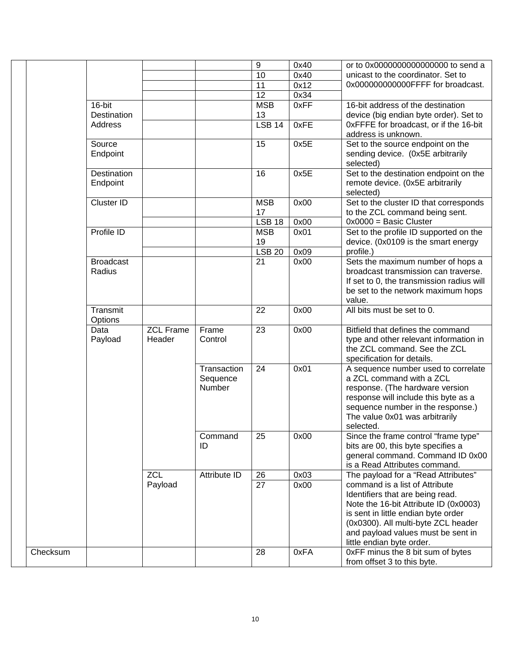|          |                    |                  |              | 9             | 0x40 | or to 0x0000000000000000 to send a        |
|----------|--------------------|------------------|--------------|---------------|------|-------------------------------------------|
|          |                    |                  |              | 10            | 0x40 | unicast to the coordinator. Set to        |
|          |                    |                  |              | 11            | 0x12 | 0x000000000000FFFF for broadcast.         |
|          |                    |                  |              | 12            | 0x34 |                                           |
|          | $16$ -bit          |                  |              | <b>MSB</b>    | 0xFF | 16-bit address of the destination         |
|          | Destination        |                  |              | 13            |      | device (big endian byte order). Set to    |
|          | Address            |                  |              | <b>LSB 14</b> | 0xFE | 0xFFFE for broadcast, or if the 16-bit    |
|          |                    |                  |              |               |      | address is unknown.                       |
|          | Source             |                  |              | 15            | 0x5E | Set to the source endpoint on the         |
|          | Endpoint           |                  |              |               |      | sending device. (0x5E arbitrarily         |
|          |                    |                  |              |               |      | selected)                                 |
|          | <b>Destination</b> |                  |              | 16            | 0x5E | Set to the destination endpoint on the    |
|          | Endpoint           |                  |              |               |      | remote device. (0x5E arbitrarily          |
|          |                    |                  |              |               |      | selected)                                 |
|          | <b>Cluster ID</b>  |                  |              | <b>MSB</b>    | 0x00 | Set to the cluster ID that corresponds    |
|          |                    |                  |              | 17            |      | to the ZCL command being sent.            |
|          |                    |                  |              | <b>LSB 18</b> | 0x00 | $0x0000 =$ Basic Cluster                  |
|          | Profile ID         |                  |              | <b>MSB</b>    | 0x01 | Set to the profile ID supported on the    |
|          |                    |                  |              | 19            |      | device. (0x0109 is the smart energy       |
|          |                    |                  |              | <b>LSB 20</b> | 0x09 | profile.)                                 |
|          | <b>Broadcast</b>   |                  |              | 21            | 0x00 | Sets the maximum number of hops a         |
|          | Radius             |                  |              |               |      | broadcast transmission can traverse.      |
|          |                    |                  |              |               |      | If set to 0, the transmission radius will |
|          |                    |                  |              |               |      | be set to the network maximum hops        |
|          |                    |                  |              |               |      | value.                                    |
|          | Transmit           |                  |              | 22            | 0x00 | All bits must be set to 0.                |
|          | Options            |                  |              |               |      |                                           |
|          | Data               | <b>ZCL Frame</b> | Frame        | 23            | 0x00 | Bitfield that defines the command         |
|          | Payload            | Header           | Control      |               |      | type and other relevant information in    |
|          |                    |                  |              |               |      | the ZCL command. See the ZCL              |
|          |                    |                  |              |               |      | specification for details.                |
|          |                    |                  | Transaction  | 24            | 0x01 | A sequence number used to correlate       |
|          |                    |                  | Sequence     |               |      | a ZCL command with a ZCL                  |
|          |                    |                  | Number       |               |      | response. (The hardware version           |
|          |                    |                  |              |               |      | response will include this byte as a      |
|          |                    |                  |              |               |      | sequence number in the response.)         |
|          |                    |                  |              |               |      | The value 0x01 was arbitrarily            |
|          |                    |                  |              |               |      | selected.                                 |
|          |                    |                  | Command      | 25            | 0x00 | Since the frame control "frame type"      |
|          |                    |                  | ID           |               |      | bits are 00, this byte specifies a        |
|          |                    |                  |              |               |      | general command. Command ID 0x00          |
|          |                    |                  |              |               |      | is a Read Attributes command.             |
|          |                    | <b>ZCL</b>       | Attribute ID | 26            | 0x03 | The payload for a "Read Attributes"       |
|          |                    | Payload          |              | 27            | 0x00 | command is a list of Attribute            |
|          |                    |                  |              |               |      | Identifiers that are being read.          |
|          |                    |                  |              |               |      | Note the 16-bit Attribute ID (0x0003)     |
|          |                    |                  |              |               |      | is sent in little endian byte order       |
|          |                    |                  |              |               |      | (0x0300). All multi-byte ZCL header       |
|          |                    |                  |              |               |      | and payload values must be sent in        |
|          |                    |                  |              |               |      | little endian byte order.                 |
| Checksum |                    |                  |              | 28            | 0xFA | 0xFF minus the 8 bit sum of bytes         |
|          |                    |                  |              |               |      | from offset 3 to this byte.               |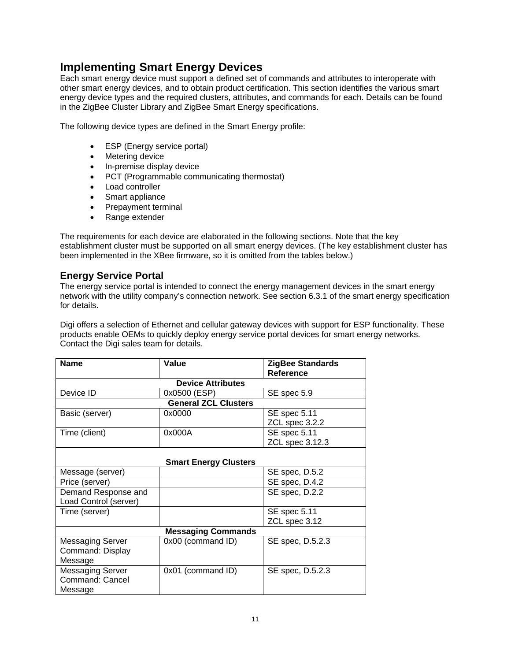# **Implementing Smart Energy Devices**

Each smart energy device must support a defined set of commands and attributes to interoperate with other smart energy devices, and to obtain product certification. This section identifies the various smart energy device types and the required clusters, attributes, and commands for each. Details can be found in the ZigBee Cluster Library and ZigBee Smart Energy specifications.

The following device types are defined in the Smart Energy profile:

- ESP (Energy service portal)
- Metering device
- In-premise display device
- PCT (Programmable communicating thermostat)
- Load controller
- Smart appliance
- Prepayment terminal
- Range extender

The requirements for each device are elaborated in the following sections. Note that the key establishment cluster must be supported on all smart energy devices. (The key establishment cluster has been implemented in the XBee firmware, so it is omitted from the tables below.)

# **Energy Service Portal**

The energy service portal is intended to connect the energy management devices in the smart energy network with the utility company's connection network. See section 6.3.1 of the smart energy specification for details.

Digi offers a selection of Ethernet and cellular gateway devices with support for ESP functionality. These products enable OEMs to quickly deploy energy service portal devices for smart energy networks. Contact the Digi sales team for details.

| <b>Name</b>             | Value                        | <b>ZigBee Standards</b><br>Reference |
|-------------------------|------------------------------|--------------------------------------|
|                         | <b>Device Attributes</b>     |                                      |
| Device ID               | 0x0500 (ESP)                 | SE spec 5.9                          |
|                         | <b>General ZCL Clusters</b>  |                                      |
| Basic (server)          | 0x0000                       | <b>SE</b> spec 5.11                  |
|                         |                              | ZCL spec 3.2.2                       |
| Time (client)           | 0x000A                       | <b>SE</b> spec 5.11                  |
|                         |                              | ZCL spec 3.12.3                      |
|                         |                              |                                      |
|                         | <b>Smart Energy Clusters</b> |                                      |
| Message (server)        |                              | SE spec, D.5.2                       |
| Price (server)          |                              | SE spec, D.4.2                       |
| Demand Response and     |                              | SE spec, D.2.2                       |
| Load Control (server)   |                              |                                      |
| Time (server)           |                              | SE spec 5.11                         |
|                         |                              | ZCL spec 3.12                        |
|                         | <b>Messaging Commands</b>    |                                      |
| <b>Messaging Server</b> | 0x00 (command ID)            | SE spec, D.5.2.3                     |
| Command: Display        |                              |                                      |
| Message                 |                              |                                      |
| <b>Messaging Server</b> | 0x01 (command ID)            | SE spec, D.5.2.3                     |
| Command: Cancel         |                              |                                      |
| Message                 |                              |                                      |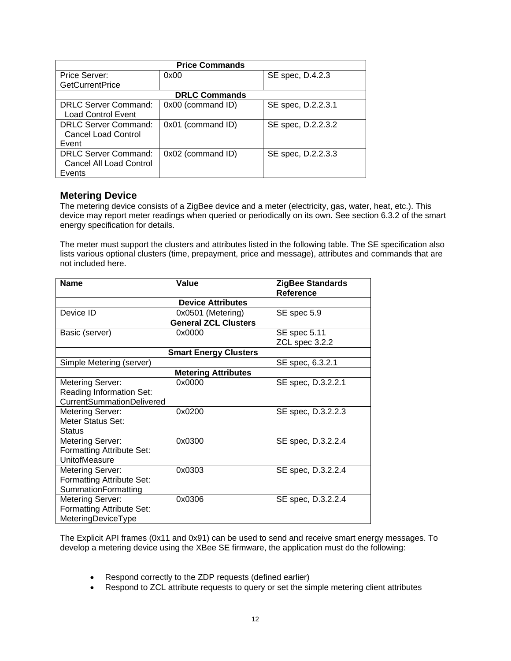| <b>Price Commands</b>                                              |                      |                    |  |  |  |
|--------------------------------------------------------------------|----------------------|--------------------|--|--|--|
| Price Server:                                                      | 0x00                 | SE spec, D.4.2.3   |  |  |  |
| <b>GetCurrentPrice</b>                                             |                      |                    |  |  |  |
|                                                                    | <b>DRLC Commands</b> |                    |  |  |  |
| <b>DRLC Server Command:</b><br><b>Load Control Event</b>           | 0x00 (command ID)    | SE spec, D.2.2.3.1 |  |  |  |
| <b>DRLC Server Command:</b><br><b>Cancel Load Control</b><br>Event | 0x01 (command ID)    | SE spec, D.2.2.3.2 |  |  |  |
| <b>DRLC Server Command:</b><br>Cancel All Load Control<br>Events   | $0x02$ (command ID)  | SE spec, D.2.2.3.3 |  |  |  |

#### **Metering Device**

The metering device consists of a ZigBee device and a meter (electricity, gas, water, heat, etc.). This device may report meter readings when queried or periodically on its own. See section 6.3.2 of the smart energy specification for details.

The meter must support the clusters and attributes listed in the following table. The SE specification also lists various optional clusters (time, prepayment, price and message), attributes and commands that are not included here.

| <b>Name</b>                      | Value                        | <b>ZigBee Standards</b><br><b>Reference</b> |
|----------------------------------|------------------------------|---------------------------------------------|
|                                  | <b>Device Attributes</b>     |                                             |
| Device ID                        | 0x0501 (Metering)            | SE spec 5.9                                 |
|                                  | <b>General ZCL Clusters</b>  |                                             |
| Basic (server)                   | 0x0000                       | SE spec 5.11                                |
|                                  |                              | ZCL spec 3.2.2                              |
|                                  | <b>Smart Energy Clusters</b> |                                             |
| Simple Metering (server)         |                              | SE spec, 6.3.2.1                            |
|                                  | <b>Metering Attributes</b>   |                                             |
| Metering Server:                 | 0x0000                       | SE spec, D.3.2.2.1                          |
| Reading Information Set:         |                              |                                             |
| <b>CurrentSummationDelivered</b> |                              |                                             |
| Metering Server:                 | 0x0200                       | SE spec, D.3.2.2.3                          |
| Meter Status Set:                |                              |                                             |
| <b>Status</b>                    |                              |                                             |
| Metering Server:                 | 0x0300                       | SE spec, D.3.2.2.4                          |
| Formatting Attribute Set:        |                              |                                             |
| <b>UnitofMeasure</b>             |                              |                                             |
| Metering Server:                 | 0x0303                       | SE spec, D.3.2.2.4                          |
| Formatting Attribute Set:        |                              |                                             |
| SummationFormatting              |                              |                                             |
| Metering Server:                 | 0x0306                       | SE spec, D.3.2.2.4                          |
| Formatting Attribute Set:        |                              |                                             |
| MeteringDeviceType               |                              |                                             |

The Explicit API frames (0x11 and 0x91) can be used to send and receive smart energy messages. To develop a metering device using the XBee SE firmware, the application must do the following:

- Respond correctly to the ZDP requests (defined earlier)
- Respond to ZCL attribute requests to query or set the simple metering client attributes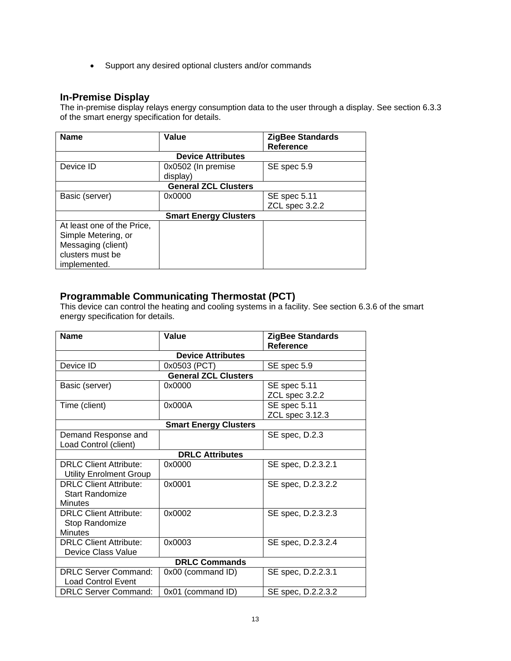• Support any desired optional clusters and/or commands

# **In-Premise Display**

The in-premise display relays energy consumption data to the user through a display. See section 6.3.3 of the smart energy specification for details.

| <b>Name</b>                | Value                        | <b>ZigBee Standards</b><br><b>Reference</b> |
|----------------------------|------------------------------|---------------------------------------------|
|                            | <b>Device Attributes</b>     |                                             |
| Device ID                  | 0x0502 (In premise           | SE spec 5.9                                 |
|                            | display)                     |                                             |
|                            | <b>General ZCL Clusters</b>  |                                             |
| Basic (server)             | 0x0000                       | <b>SE</b> spec 5.11                         |
|                            |                              | ZCL spec 3.2.2                              |
|                            | <b>Smart Energy Clusters</b> |                                             |
| At least one of the Price, |                              |                                             |
| Simple Metering, or        |                              |                                             |
| Messaging (client)         |                              |                                             |
| clusters must be           |                              |                                             |
| implemented.               |                              |                                             |

# **Programmable Communicating Thermostat (PCT)**

This device can control the heating and cooling systems in a facility. See section 6.3.6 of the smart energy specification for details.

| <b>Name</b>                    | Value                        | <b>ZigBee Standards</b><br><b>Reference</b> |  |  |
|--------------------------------|------------------------------|---------------------------------------------|--|--|
|                                | <b>Device Attributes</b>     |                                             |  |  |
|                                |                              |                                             |  |  |
| Device ID                      | 0x0503 (PCT)                 | SE spec 5.9                                 |  |  |
|                                | <b>General ZCL Clusters</b>  |                                             |  |  |
| Basic (server)                 | 0x0000                       | <b>SE</b> spec 5.11                         |  |  |
|                                |                              | ZCL spec 3.2.2                              |  |  |
| Time (client)                  | 0x000A                       | <b>SE spec 5.11</b>                         |  |  |
|                                |                              | ZCL spec 3.12.3                             |  |  |
|                                | <b>Smart Energy Clusters</b> |                                             |  |  |
| Demand Response and            |                              | SE spec, D.2.3                              |  |  |
| Load Control (client)          |                              |                                             |  |  |
|                                | <b>DRLC Attributes</b>       |                                             |  |  |
| <b>DRLC Client Attribute:</b>  | 0x0000                       | SE spec, D.2.3.2.1                          |  |  |
| <b>Utility Enrolment Group</b> |                              |                                             |  |  |
| <b>DRLC Client Attribute:</b>  | 0x0001                       | SE spec, D.2.3.2.2                          |  |  |
| Start Randomize                |                              |                                             |  |  |
| <b>Minutes</b>                 |                              |                                             |  |  |
| <b>DRLC Client Attribute:</b>  | 0x0002                       | SE spec, D.2.3.2.3                          |  |  |
| Stop Randomize                 |                              |                                             |  |  |
| <b>Minutes</b>                 |                              |                                             |  |  |
| <b>DRLC Client Attribute:</b>  | 0x0003                       | SE spec, D.2.3.2.4                          |  |  |
| <b>Device Class Value</b>      |                              |                                             |  |  |
| <b>DRLC Commands</b>           |                              |                                             |  |  |
| <b>DRLC Server Command:</b>    | 0x00 (command ID)            | SE spec, D.2.2.3.1                          |  |  |
| <b>Load Control Event</b>      |                              |                                             |  |  |
| <b>DRLC Server Command:</b>    | 0x01 (command ID)            | SE spec, D.2.2.3.2                          |  |  |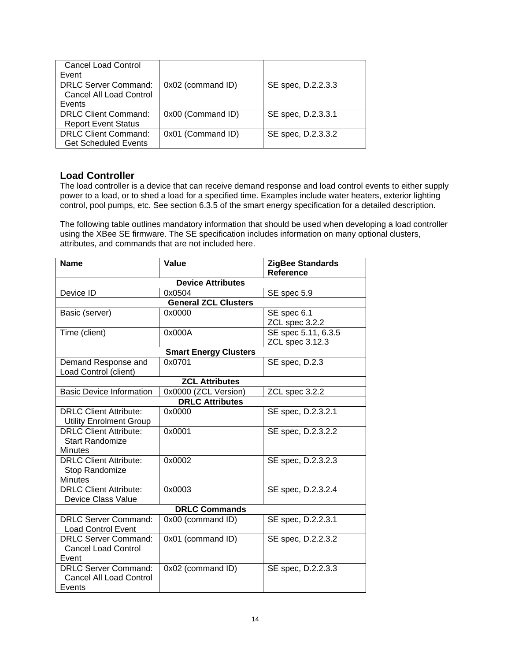| <b>Cancel Load Control</b><br>Event                        |                   |                    |
|------------------------------------------------------------|-------------------|--------------------|
| DRLC Server Command:<br>Cancel All Load Control<br>Events  | 0x02 (command ID) | SE spec, D.2.2.3.3 |
| DRLC Client Command:<br><b>Report Event Status</b>         | 0x00 (Command ID) | SE spec, D.2.3.3.1 |
| <b>DRLC Client Command:</b><br><b>Get Scheduled Events</b> | 0x01 (Command ID) | SE spec, D.2.3.3.2 |

### **Load Controller**

The load controller is a device that can receive demand response and load control events to either supply power to a load, or to shed a load for a specified time. Examples include water heaters, exterior lighting control, pool pumps, etc. See section 6.3.5 of the smart energy specification for a detailed description.

The following table outlines mandatory information that should be used when developing a load controller using the XBee SE firmware. The SE specification includes information on many optional clusters, attributes, and commands that are not included here.

| <b>Name</b>                                                               | <b>Value</b>                 | <b>ZigBee Standards</b><br><b>Reference</b> |  |
|---------------------------------------------------------------------------|------------------------------|---------------------------------------------|--|
| <b>Device Attributes</b>                                                  |                              |                                             |  |
| Device ID                                                                 | 0x0504                       | SE spec 5.9                                 |  |
|                                                                           | <b>General ZCL Clusters</b>  |                                             |  |
| Basic (server)                                                            | 0x0000                       | SE spec 6.1<br>ZCL spec 3.2.2               |  |
| Time (client)                                                             | 0x000A                       | SE spec 5.11, 6.3.5<br>ZCL spec 3.12.3      |  |
|                                                                           | <b>Smart Energy Clusters</b> |                                             |  |
| Demand Response and<br>Load Control (client)                              | 0x0701                       | SE spec, D.2.3                              |  |
|                                                                           | <b>ZCL Attributes</b>        |                                             |  |
| <b>Basic Device Information</b>                                           | 0x0000 (ZCL Version)         | ZCL spec 3.2.2                              |  |
|                                                                           | <b>DRLC Attributes</b>       |                                             |  |
| <b>DRLC Client Attribute:</b><br><b>Utility Enrolment Group</b>           | 0x0000                       | SE spec, D.2.3.2.1                          |  |
| <b>DRLC Client Attribute:</b><br><b>Start Randomize</b><br><b>Minutes</b> | 0x0001                       | SE spec, D.2.3.2.2                          |  |
| <b>DRLC Client Attribute:</b><br>Stop Randomize<br><b>Minutes</b>         | 0x0002                       | SE spec, D.2.3.2.3                          |  |
| <b>DRLC Client Attribute:</b><br><b>Device Class Value</b>                | 0x0003                       | SE spec, D.2.3.2.4                          |  |
|                                                                           | <b>DRLC Commands</b>         |                                             |  |
| <b>DRLC Server Command:</b><br><b>Load Control Event</b>                  | 0x00 (command ID)            | SE spec, D.2.2.3.1                          |  |
| <b>DRLC Server Command:</b><br><b>Cancel Load Control</b><br>Event        | 0x01 (command ID)            | SE spec, D.2.2.3.2                          |  |
| <b>DRLC Server Command:</b><br>Cancel All Load Control<br>Events          | 0x02 (command ID)            | SE spec, D.2.2.3.3                          |  |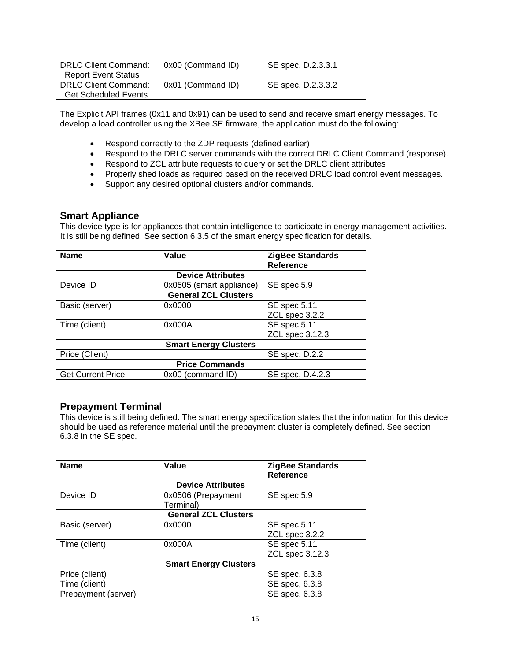| <b>DRLC Client Command:</b><br><b>Report Event Status</b>  | 0x00 (Command ID) | SE spec, D.2.3.3.1 |
|------------------------------------------------------------|-------------------|--------------------|
| <b>DRLC Client Command:</b><br><b>Get Scheduled Events</b> | 0x01 (Command ID) | SE spec, D.2.3.3.2 |

The Explicit API frames (0x11 and 0x91) can be used to send and receive smart energy messages. To develop a load controller using the XBee SE firmware, the application must do the following:

- Respond correctly to the ZDP requests (defined earlier)
- Respond to the DRLC server commands with the correct DRLC Client Command (response).
- Respond to ZCL attribute requests to query or set the DRLC client attributes
- Properly shed loads as required based on the received DRLC load control event messages.
- Support any desired optional clusters and/or commands.

### **Smart Appliance**

This device type is for appliances that contain intelligence to participate in energy management activities. It is still being defined. See section 6.3.5 of the smart energy specification for details.

| <b>Name</b>                  | Value                       | <b>ZigBee Standards</b><br><b>Reference</b> |
|------------------------------|-----------------------------|---------------------------------------------|
|                              |                             |                                             |
|                              | <b>Device Attributes</b>    |                                             |
| Device ID                    | 0x0505 (smart appliance)    | SE spec 5.9                                 |
|                              | <b>General ZCL Clusters</b> |                                             |
| Basic (server)               | 0x0000                      | SE spec 5.11                                |
|                              |                             | ZCL spec 3.2.2                              |
| Time (client)                | 0x000A                      | SE spec 5.11                                |
|                              |                             | ZCL spec 3.12.3                             |
| <b>Smart Energy Clusters</b> |                             |                                             |
| Price (Client)               |                             | SE spec, D.2.2                              |
| <b>Price Commands</b>        |                             |                                             |
| <b>Get Current Price</b>     | 0x00 (command ID)           | SE spec, D.4.2.3                            |

# **Prepayment Terminal**

This device is still being defined. The smart energy specification states that the information for this device should be used as reference material until the prepayment cluster is completely defined. See section 6.3.8 in the SE spec.

| <b>Name</b>                  | Value                       | <b>ZigBee Standards</b><br><b>Reference</b> |
|------------------------------|-----------------------------|---------------------------------------------|
|                              | <b>Device Attributes</b>    |                                             |
| Device ID                    | 0x0506 (Prepayment          | SE spec 5.9                                 |
|                              | Terminal)                   |                                             |
|                              | <b>General ZCL Clusters</b> |                                             |
| Basic (server)               | 0x0000                      | SE spec 5.11                                |
|                              |                             | ZCL spec 3.2.2                              |
| Time (client)                | 0x000A                      | SE spec 5.11                                |
|                              |                             | ZCL spec 3.12.3                             |
| <b>Smart Energy Clusters</b> |                             |                                             |
| Price (client)               |                             | SE spec, 6.3.8                              |
| Time (client)                |                             | SE spec, 6.3.8                              |
| Prepayment (server)          |                             | SE spec, 6.3.8                              |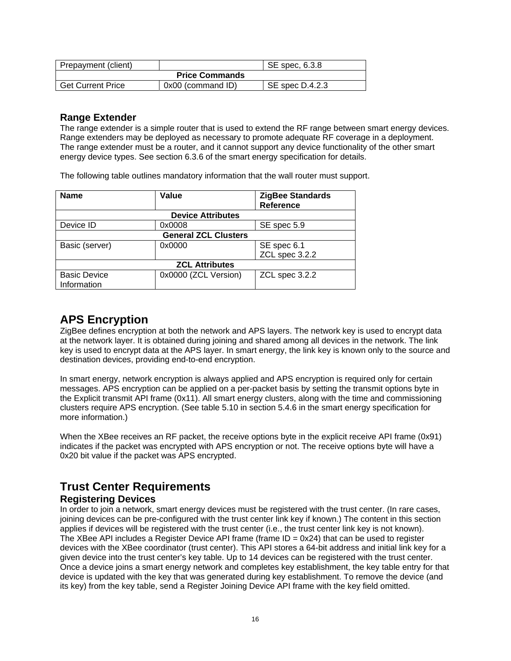| Prepayment (client)      |                   | SE spec. 6.3.8  |
|--------------------------|-------------------|-----------------|
| <b>Price Commands</b>    |                   |                 |
| <b>Get Current Price</b> | 0x00 (command ID) | SE spec D.4.2.3 |

### **Range Extender**

The range extender is a simple router that is used to extend the RF range between smart energy devices. Range extenders may be deployed as necessary to promote adequate RF coverage in a deployment. The range extender must be a router, and it cannot support any device functionality of the other smart energy device types. See section 6.3.6 of the smart energy specification for details.

The following table outlines mandatory information that the wall router must support.

| <b>Name</b>           | Value                       | <b>ZigBee Standards</b> |  |
|-----------------------|-----------------------------|-------------------------|--|
|                       |                             | <b>Reference</b>        |  |
|                       | <b>Device Attributes</b>    |                         |  |
| Device ID             | 0x0008                      | SE spec 5.9             |  |
|                       | <b>General ZCL Clusters</b> |                         |  |
| Basic (server)        | 0x0000                      | SE spec 6.1             |  |
|                       |                             | ZCL spec 3.2.2          |  |
| <b>ZCL Attributes</b> |                             |                         |  |
| <b>Basic Device</b>   | 0x0000 (ZCL Version)        | ZCL spec 3.2.2          |  |
| Information           |                             |                         |  |

# **APS Encryption**

ZigBee defines encryption at both the network and APS layers. The network key is used to encrypt data at the network layer. It is obtained during joining and shared among all devices in the network. The link key is used to encrypt data at the APS layer. In smart energy, the link key is known only to the source and destination devices, providing end-to-end encryption.

In smart energy, network encryption is always applied and APS encryption is required only for certain messages. APS encryption can be applied on a per-packet basis by setting the transmit options byte in the Explicit transmit API frame (0x11). All smart energy clusters, along with the time and commissioning clusters require APS encryption. (See table 5.10 in section 5.4.6 in the smart energy specification for more information.)

When the XBee receives an RF packet, the receive options byte in the explicit receive API frame (0x91) indicates if the packet was encrypted with APS encryption or not. The receive options byte will have a 0x20 bit value if the packet was APS encrypted.

# **Trust Center Requirements Registering Devices**

In order to join a network, smart energy devices must be registered with the trust center. (In rare cases, joining devices can be pre-configured with the trust center link key if known.) The content in this section applies if devices will be registered with the trust center (i.e., the trust center link key is not known). The XBee API includes a Register Device API frame (frame  $ID = 0x24$ ) that can be used to register devices with the XBee coordinator (trust center). This API stores a 64-bit address and initial link key for a given device into the trust center's key table. Up to 14 devices can be registered with the trust center. Once a device joins a smart energy network and completes key establishment, the key table entry for that device is updated with the key that was generated during key establishment. To remove the device (and its key) from the key table, send a Register Joining Device API frame with the key field omitted.